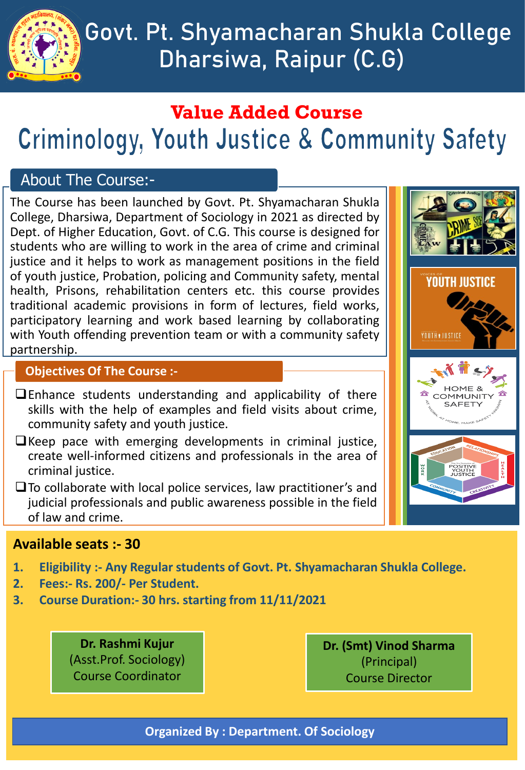

# **Govt. Pt. Shyamacharan Shukla College Dharsiwa, Raipur (C.G)**

# **Value Added Course Criminology, Youth Justice & Community Safety**

### About The Course:-

The Course has been launched by Govt. Pt. Shyamacharan Shukla College, Dharsiwa, Department of Sociology in 2021 as directed by Dept. of Higher Education, Govt. of C.G. This course is designed for students who are willing to work in the area of crime and criminal justice and it helps to work as management positions in the field of youth justice, Probation, policing and Community safety, mental health, Prisons, rehabilitation centers etc. this course provides traditional academic provisions in form of lectures, field works, participatory learning and work based learning by collaborating with Youth offending prevention team or with a community safety partnership.

#### **Objectives Of The Course :-**

- ❑Enhance students understanding and applicability of there skills with the help of examples and field visits about crime, community safety and youth justice.
- ❑Keep pace with emerging developments in criminal justice, create well-informed citizens and professionals in the area of criminal justice.
- ❑To collaborate with local police services, law practitioner's and judicial professionals and public awareness possible in the field of law and crime.



### **Available seats :- 30**

- **1. Eligibility :- Any Regular students of Govt. Pt. Shyamacharan Shukla College.**
- **2. Fees:- Rs. 200/- Per Student.**
- **3. Course Duration:- 30 hrs. starting from 11/11/2021**

**Dr. Rashmi Kujur** (Asst.Prof. Sociology) Course Coordinator

**Dr. (Smt) Vinod Sharma** (Principal) Course Director

**Organized By : Department. Of Sociology**